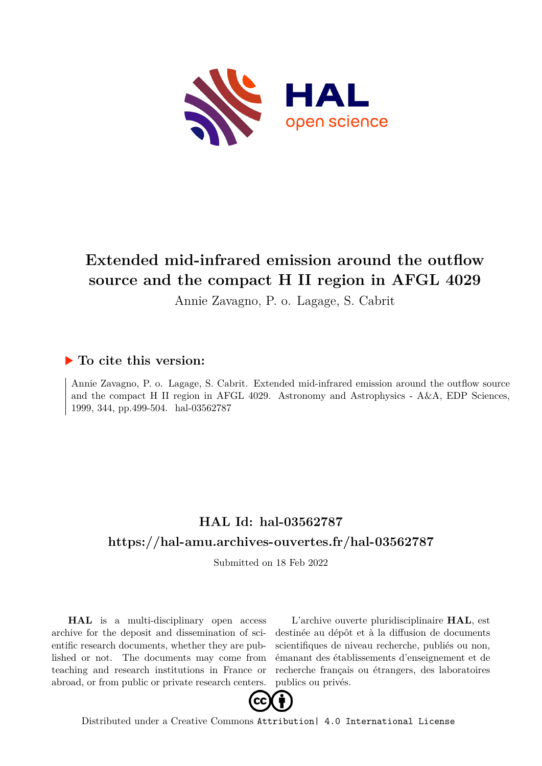

# **Extended mid-infrared emission around the outflow source and the compact H II region in AFGL 4029**

Annie Zavagno, P. o. Lagage, S. Cabrit

### **To cite this version:**

Annie Zavagno, P. o. Lagage, S. Cabrit. Extended mid-infrared emission around the outflow source and the compact H II region in AFGL 4029. Astronomy and Astrophysics - A&A, EDP Sciences, 1999, 344, pp.499-504. hal-03562787

## **HAL Id: hal-03562787 <https://hal-amu.archives-ouvertes.fr/hal-03562787>**

Submitted on 18 Feb 2022

**HAL** is a multi-disciplinary open access archive for the deposit and dissemination of scientific research documents, whether they are published or not. The documents may come from teaching and research institutions in France or abroad, or from public or private research centers.

L'archive ouverte pluridisciplinaire **HAL**, est destinée au dépôt et à la diffusion de documents scientifiques de niveau recherche, publiés ou non, émanant des établissements d'enseignement et de recherche français ou étrangers, des laboratoires publics ou privés.



Distributed under a Creative Commons [Attribution| 4.0 International License](http://creativecommons.org/licenses/by/4.0/)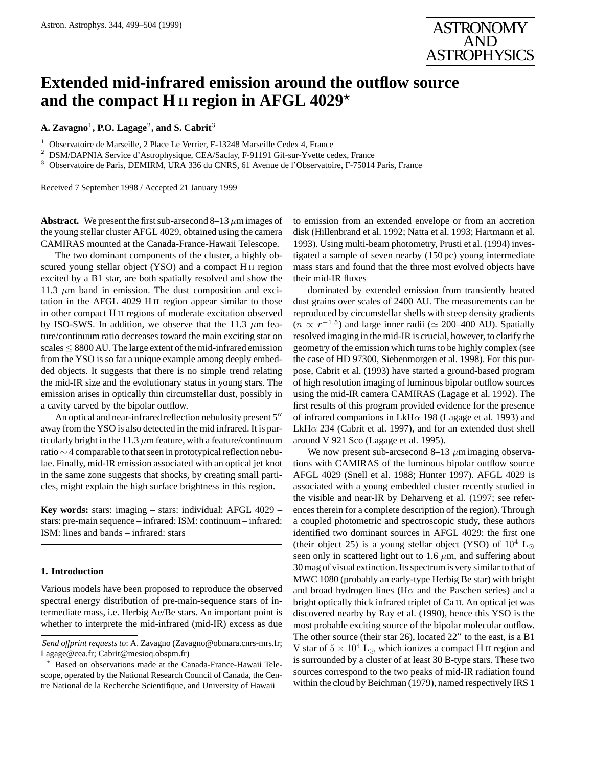

### **Extended mid-infrared emission around the outflow source and the compact H II region in AFGL 4029**?

 $\mathbf{A}. \mathbf{Z}$ avagno $^1$ , **P.O.** Lagage $^2$ , and  $\mathbf{S}. \mathbf{C}$ abrit $^3$ 

<sup>1</sup> Observatoire de Marseille, 2 Place Le Verrier, F-13248 Marseille Cedex 4, France  $\frac{2 \text{ DSM}}{\text{DMDM}}$  A Perries d'Astrophysique, CEA/Soclay, E 01101 Gif sur Vyette co

<sup>2</sup> DSM/DAPNIA Service d'Astrophysique, CEA/Saclay, F-91191 Gif-sur-Yvette cedex, France

<sup>3</sup> Observatoire de Paris, DEMIRM, URA 336 du CNRS, 61 Avenue de l'Observatoire, F-75014 Paris, France

Received 7 September 1998 / Accepted 21 January 1999

**Abstract.** We present the first sub-arsecond 8–13  $\mu$ m images of the young stellar cluster AFGL 4029, obtained using the camera CAMIRAS mounted at the Canada-France-Hawaii Telescope.

The two dominant components of the cluster, a highly obscured young stellar object (YSO) and a compact H<sub>II</sub> region excited by a B1 star, are both spatially resolved and show the 11.3  $\mu$ m band in emission. The dust composition and excitation in the AFGL 4029 H ii region appear similar to those in other compact H ii regions of moderate excitation observed by ISO-SWS. In addition, we observe that the 11.3  $\mu$ m feature/continuum ratio decreases toward the main exciting star on  $scales \leq 8800$  AU. The large extent of the mid-infrared emission from the YSO is so far a unique example among deeply embedded objects. It suggests that there is no simple trend relating the mid-IR size and the evolutionary status in young stars. The emission arises in optically thin circumstellar dust, possibly in a cavity carved by the bipolar outflow.

An optical and near-infrared reflection nebulosity present  $5<sup>0</sup>$ away from the YSO is also detected in the mid infrared. It is particularly bright in the 11.3  $\mu$ m feature, with a feature/continuum ratio ∼ 4 comparable to that seen in prototypical reflection nebulae. Finally, mid-IR emission associated with an optical jet knot in the same zone suggests that shocks, by creating small particles, might explain the high surface brightness in this region.

**Key words:** stars: imaging – stars: individual: AFGL 4029 – stars: pre-main sequence – infrared: ISM: continuum – infrared: ISM: lines and bands – infrared: stars

#### **1. Introduction**

Various models have been proposed to reproduce the observed spectral energy distribution of pre-main-sequence stars of intermediate mass, i.e. Herbig Ae/Be stars. An important point is whether to interprete the mid-infrared (mid-IR) excess as due

to emission from an extended envelope or from an accretion disk (Hillenbrand et al. 1992; Natta et al. 1993; Hartmann et al. 1993). Using multi-beam photometry, Prusti et al. (1994) investigated a sample of seven nearby (150 pc) young intermediate mass stars and found that the three most evolved objects have their mid-IR fluxes

dominated by extended emission from transiently heated dust grains over scales of 2400 AU. The measurements can be reproduced by circumstellar shells with steep density gradients  $(n \propto r^{-1.5})$  and large inner radii ( $\simeq$  200–400 AU). Spatially resolved imaging in the mid-IR is crucial, however, to clarify the geometry of the emission which turns to be highly complex (see the case of HD 97300, Siebenmorgen et al. 1998). For this purpose, Cabrit et al. (1993) have started a ground-based program of high resolution imaging of luminous bipolar outflow sources using the mid-IR camera CAMIRAS (Lagage et al. 1992). The first results of this program provided evidence for the presence of infrared companions in LkH $\alpha$  198 (Lagage et al. 1993) and LkH $\alpha$  234 (Cabrit et al. 1997), and for an extended dust shell around V 921 Sco (Lagage et al. 1995).

We now present sub-arcsecond  $8-13 \mu m$  imaging observations with CAMIRAS of the luminous bipolar outflow source AFGL 4029 (Snell et al. 1988; Hunter 1997). AFGL 4029 is associated with a young embedded cluster recently studied in the visible and near-IR by Deharveng et al. (1997; see references therein for a complete description of the region). Through a coupled photometric and spectroscopic study, these authors identified two dominant sources in AFGL 4029: the first one (their object 25) is a young stellar object (YSO) of  $10^4$  L<sub> $\odot$ </sub> seen only in scattered light out to 1.6  $\mu$ m, and suffering about 30 mag of visual extinction. Its spectrum is very similar to that of MWC 1080 (probably an early-type Herbig Be star) with bright and broad hydrogen lines (H $\alpha$  and the Paschen series) and a bright optically thick infrared triplet of Ca ii. An optical jet was discovered nearby by Ray et al. (1990), hence this YSO is the most probable exciting source of the bipolar molecular outflow. The other source (their star 26), located  $22''$  to the east, is a B1 V star of  $5 \times 10^4$  L<sub> $\odot$ </sub> which ionizes a compact H<sub>II</sub> region and is surrounded by a cluster of at least 30 B-type stars. These two sources correspond to the two peaks of mid-IR radiation found within the cloud by Beichman (1979), named respectively IRS 1

*Send offprint requests to*: A. Zavagno (Zavagno@obmara.cnrs-mrs.fr; Lagage@cea.fr; Cabrit@mesioq.obspm.fr)

<sup>?</sup> Based on observations made at the Canada-France-Hawaii Telescope, operated by the National Research Council of Canada, the Centre National de la Recherche Scientifique, and University of Hawaii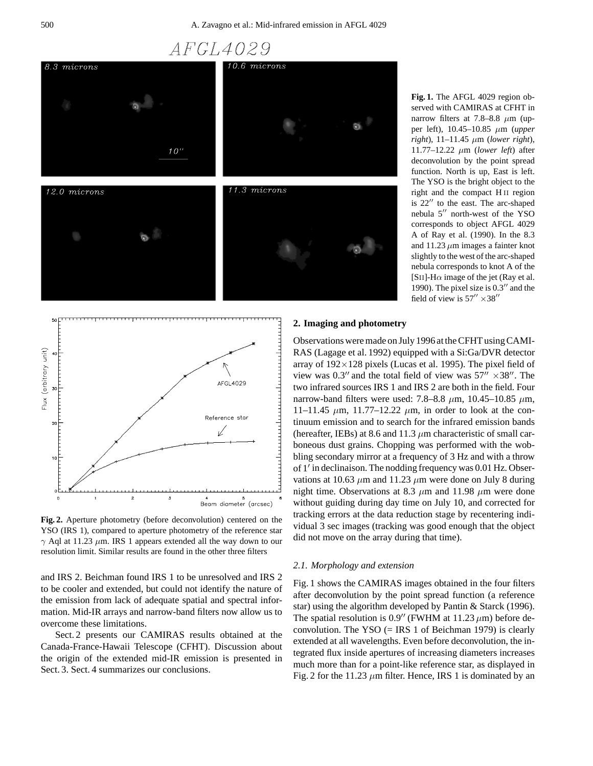



**Fig. 2.** Aperture photometry (before deconvolution) centered on the YSO (IRS 1), compared to aperture photometry of the reference star  $\gamma$  Aql at 11.23  $\mu$ m. IRS 1 appears extended all the way down to our resolution limit. Similar results are found in the other three filters

and IRS 2. Beichman found IRS 1 to be unresolved and IRS 2 to be cooler and extended, but could not identify the nature of the emission from lack of adequate spatial and spectral information. Mid-IR arrays and narrow-band filters now allow us to overcome these limitations.

Sect. 2 presents our CAMIRAS results obtained at the Canada-France-Hawaii Telescope (CFHT). Discussion about the origin of the extended mid-IR emission is presented in Sect. 3. Sect. 4 summarizes our conclusions.

**Fig. 1.** The AFGL 4029 region observed with CAMIRAS at CFHT in narrow filters at 7.8–8.8  $\mu$ m (upper left), 10.45–10.85 µm (*upper right*), 11–11.45 µm (*lower right*), 11.77–12.22 µm (*lower left*) after deconvolution by the point spread function. North is up, East is left. The YSO is the bright object to the right and the compact H ii region is 22" to the east. The arc-shaped nebula 5" north-west of the YSO corresponds to object AFGL 4029 A of Ray et al. (1990). In the 8.3 and 11.23  $\mu$ m images a fainter knot slightly to the west of the arc-shaped nebula corresponds to knot A of the [SII]-H $\alpha$  image of the jet (Ray et al. 1990). The pixel size is  $0.3$ <sup>"</sup> and the field of view is  $57'' \times 38''$ 

#### **2. Imaging and photometry**

Observations were made on July 1996 at the CFHT using CAMI-RAS (Lagage et al. 1992) equipped with a Si:Ga/DVR detector array of 192×128 pixels (Lucas et al. 1995). The pixel field of view was  $0.3''$  and the total field of view was  $57'' \times 38''$ . The two infrared sources IRS 1 and IRS 2 are both in the field. Four narrow-band filters were used: 7.8–8.8  $\mu$ m, 10.45–10.85  $\mu$ m, 11–11.45  $\mu$ m, 11.77–12.22  $\mu$ m, in order to look at the continuum emission and to search for the infrared emission bands (hereafter, IEBs) at 8.6 and 11.3  $\mu$ m characteristic of small carboneous dust grains. Chopping was performed with the wobbling secondary mirror at a frequency of 3 Hz and with a throw of 1' in declinaison. The nodding frequency was 0.01 Hz. Observations at 10.63  $\mu$ m and 11.23  $\mu$ m were done on July 8 during night time. Observations at 8.3  $\mu$ m and 11.98  $\mu$ m were done without guiding during day time on July 10, and corrected for tracking errors at the data reduction stage by recentering individual 3 sec images (tracking was good enough that the object did not move on the array during that time).

#### *2.1. Morphology and extension*

Fig. 1 shows the CAMIRAS images obtained in the four filters after deconvolution by the point spread function (a reference star) using the algorithm developed by Pantin & Starck (1996). The spatial resolution is  $0.9''$  (FWHM at 11.23  $\mu$ m) before deconvolution. The YSO  $(=$  IRS 1 of Beichman 1979) is clearly extended at all wavelengths. Even before deconvolution, the integrated flux inside apertures of increasing diameters increases much more than for a point-like reference star, as displayed in Fig. 2 for the 11.23  $\mu$ m filter. Hence, IRS 1 is dominated by an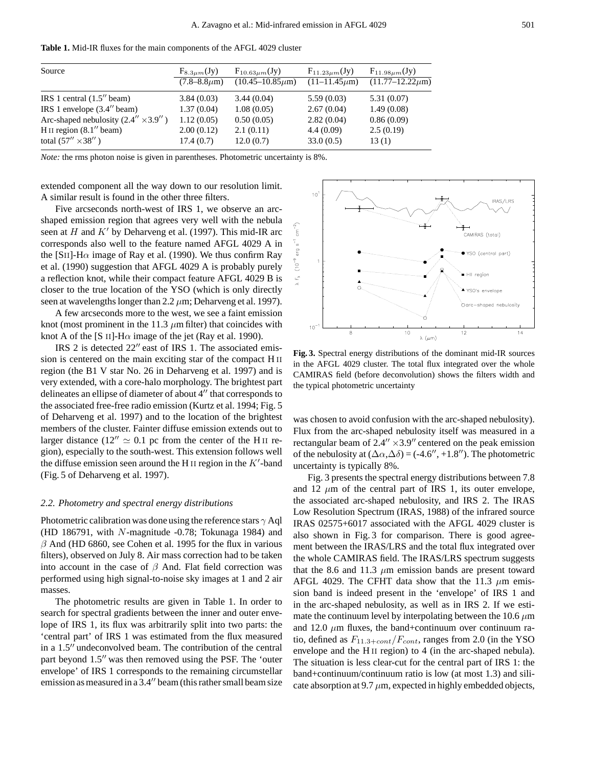**Table 1.** Mid-IR fluxes for the main components of the AFGL 4029 cluster

| Source                                       | $F_{8.3\mu m}(Jy)$    | $F_{10.63\mu m}(Jy)$      | $F_{11.23\mu m}(Jy)$ | $F_{11.98\mu m}(Jy)$    |
|----------------------------------------------|-----------------------|---------------------------|----------------------|-------------------------|
|                                              | $(7.8 - 8.8 \,\mu m)$ | $(10.45 - 10.85 \,\mu m)$ | $(11-11.45\mu m)$    | $(11.77 - 12.22 \mu m)$ |
| IRS 1 central $(1.5''$ beam)                 | 3.84(0.03)            | 3.44(0.04)                | 5.59(0.03)           | 5.31(0.07)              |
| IRS 1 envelope $(3.4''$ beam)                | 1.37(0.04)            | 1.08(0.05)                | 2.67(0.04)           | 1.49(0.08)              |
| Arc-shaped nebulosity $(2.4'' \times 3.9'')$ | 1.12(0.05)            | 0.50(0.05)                | 2.82(0.04)           | 0.86(0.09)              |
| H <sub>II</sub> region $(8.1''$ beam)        | 2.00(0.12)            | 2.1(0.11)                 | 4.4(0.09)            | 2.5(0.19)               |
| total $(57'' \times 38'')$                   | 17.4(0.7)             | 12.0(0.7)                 | 33.0(0.5)            | 13(1)                   |

*Note:* the rms photon noise is given in parentheses. Photometric uncertainty is 8%.

extended component all the way down to our resolution limit. A similar result is found in the other three filters.

Five arcseconds north-west of IRS 1, we observe an arcshaped emission region that agrees very well with the nebula seen at H and  $K'$  by Deharveng et al. (1997). This mid-IR arc corresponds also well to the feature named AFGL 4029 A in the [SII]-H $\alpha$  image of Ray et al. (1990). We thus confirm Ray et al. (1990) suggestion that AFGL 4029 A is probably purely a reflection knot, while their compact feature AFGL 4029 B is closer to the true location of the YSO (which is only directly seen at wavelengths longer than  $2.2 \mu m$ ; Deharveng et al. 1997).

A few arcseconds more to the west, we see a faint emission knot (most prominent in the 11.3  $\mu$ m filter) that coincides with knot A of the [S II]-H $\alpha$  image of the jet (Ray et al. 1990).

IRS 2 is detected  $22^{\prime\prime}$  east of IRS 1. The associated emission is centered on the main exciting star of the compact H<sub>II</sub> region (the B1 V star No. 26 in Deharveng et al. 1997) and is very extended, with a core-halo morphology. The brightest part delineates an ellipse of diameter of about  $4''$  that corresponds to the associated free-free radio emission (Kurtz et al. 1994; Fig. 5 of Deharveng et al. 1997) and to the location of the brightest members of the cluster. Fainter diffuse emission extends out to larger distance (12"  $\simeq$  0.1 pc from the center of the H II region), especially to the south-west. This extension follows well the diffuse emission seen around the H  $\text{II}$  region in the K'-band (Fig. 5 of Deharveng et al. 1997).

#### *2.2. Photometry and spectral energy distributions*

Photometric calibration was done using the reference stars  $\gamma$  Aql (HD 186791, with  $N$ -magnitude -0.78; Tokunaga 1984) and  $\beta$  And (HD 6860, see Cohen et al. 1995 for the flux in various filters), observed on July 8. Air mass correction had to be taken into account in the case of  $\beta$  And. Flat field correction was performed using high signal-to-noise sky images at 1 and 2 air masses.

The photometric results are given in Table 1. In order to search for spectral gradients between the inner and outer envelope of IRS 1, its flux was arbitrarily split into two parts: the 'central part' of IRS 1 was estimated from the flux measured in a 1.5" undeconvolved beam. The contribution of the central part beyond 1.5" was then removed using the PSF. The 'outer envelope' of IRS 1 corresponds to the remaining circumstellar emission as measured in a  $3.4$ <sup>"</sup> beam (this rather small beam size



**Fig. 3.** Spectral energy distributions of the dominant mid-IR sources in the AFGL 4029 cluster. The total flux integrated over the whole CAMIRAS field (before deconvolution) shows the filters width and the typical photometric uncertainty

was chosen to avoid confusion with the arc-shaped nebulosity). Flux from the arc-shaped nebulosity itself was measured in a rectangular beam of  $2.4'' \times 3.9''$  centered on the peak emission of the nebulosity at  $(\Delta \alpha, \Delta \delta) = (-4.6'', +1.8'')$ . The photometric uncertainty is typically 8%.

Fig. 3 presents the spectral energy distributions between 7.8 and 12  $\mu$ m of the central part of IRS 1, its outer envelope, the associated arc-shaped nebulosity, and IRS 2. The IRAS Low Resolution Spectrum (IRAS, 1988) of the infrared source IRAS 02575+6017 associated with the AFGL 4029 cluster is also shown in Fig. 3 for comparison. There is good agreement between the IRAS/LRS and the total flux integrated over the whole CAMIRAS field. The IRAS/LRS spectrum suggests that the 8.6 and 11.3  $\mu$ m emission bands are present toward AFGL 4029. The CFHT data show that the 11.3  $\mu$ m emission band is indeed present in the 'envelope' of IRS 1 and in the arc-shaped nebulosity, as well as in IRS 2. If we estimate the continuum level by interpolating between the 10.6  $\mu$ m and 12.0  $\mu$ m fluxes, the band+continuum over continuum ratio, defined as  $F_{11.3+cont}/F_{cont}$ , ranges from 2.0 (in the YSO envelope and the H<sub>II</sub> region) to 4 (in the arc-shaped nebula). The situation is less clear-cut for the central part of IRS 1: the band+continuum/continuum ratio is low (at most 1.3) and silicate absorption at 9.7  $\mu$ m, expected in highly embedded objects,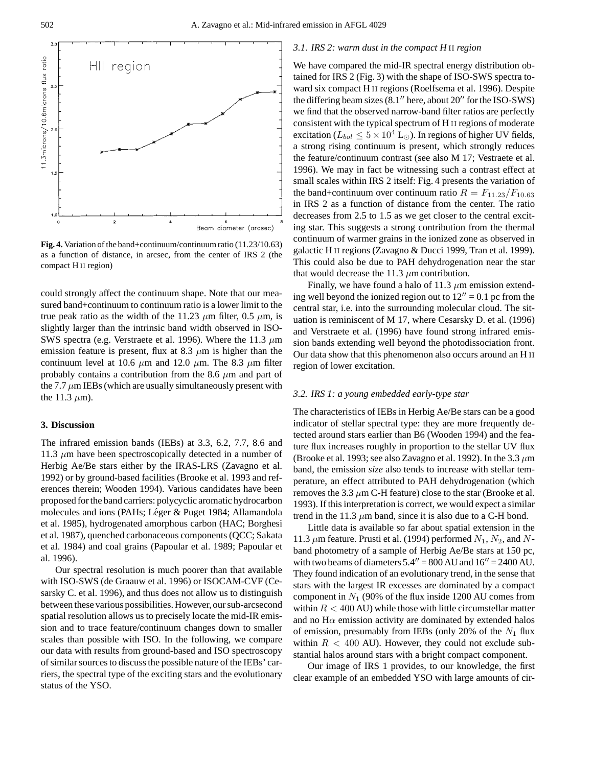

**Fig. 4.** Variation of the band+continuum/continuum ratio (11.23/10.63) as a function of distance, in arcsec, from the center of IRS 2 (the compact H ii region)

could strongly affect the continuum shape. Note that our measured band+continuum to continuum ratio is a lower limit to the true peak ratio as the width of the 11.23  $\mu$ m filter, 0.5  $\mu$ m, is slightly larger than the intrinsic band width observed in ISO-SWS spectra (e.g. Verstraete et al. 1996). Where the 11.3  $\mu$ m emission feature is present, flux at 8.3  $\mu$ m is higher than the continuum level at 10.6  $\mu$ m and 12.0  $\mu$ m. The 8.3  $\mu$ m filter probably contains a contribution from the 8.6  $\mu$ m and part of the  $7.7 \mu m$  IEBs (which are usually simultaneously present with the 11.3  $\mu$ m).

#### **3. Discussion**

The infrared emission bands (IEBs) at 3.3, 6.2, 7.7, 8.6 and 11.3  $\mu$ m have been spectroscopically detected in a number of Herbig Ae/Be stars either by the IRAS-LRS (Zavagno et al. 1992) or by ground-based facilities (Brooke et al. 1993 and references therein; Wooden 1994). Various candidates have been proposed for the band carriers: polycyclic aromatic hydrocarbon molecules and ions (PAHs; Léger & Puget 1984; Allamandola et al. 1985), hydrogenated amorphous carbon (HAC; Borghesi et al. 1987), quenched carbonaceous components (QCC; Sakata et al. 1984) and coal grains (Papoular et al. 1989; Papoular et al. 1996).

Our spectral resolution is much poorer than that available with ISO-SWS (de Graauw et al. 1996) or ISOCAM-CVF (Cesarsky C. et al. 1996), and thus does not allow us to distinguish between these various possibilities. However, our sub-arcsecond spatial resolution allows us to precisely locate the mid-IR emission and to trace feature/continuum changes down to smaller scales than possible with ISO. In the following, we compare our data with results from ground-based and ISO spectroscopy of similar sources to discuss the possible nature of the IEBs' carriers, the spectral type of the exciting stars and the evolutionary status of the YSO.

#### *3.1. IRS 2: warm dust in the compact H* ii *region*

We have compared the mid-IR spectral energy distribution obtained for IRS 2 (Fig. 3) with the shape of ISO-SWS spectra toward six compact H ii regions (Roelfsema et al. 1996). Despite the differing beam sizes  $(8.1<sup>′</sup>$  here, about  $20<sup>′</sup>$  for the ISO-SWS) we find that the observed narrow-band filter ratios are perfectly consistent with the typical spectrum of H ii regions of moderate excitation ( $L_{bol} \leq 5 \times 10^4$  L<sub>☉</sub>). In regions of higher UV fields, a strong rising continuum is present, which strongly reduces the feature/continuum contrast (see also M 17; Vestraete et al. 1996). We may in fact be witnessing such a contrast effect at small scales within IRS 2 itself: Fig. 4 presents the variation of the band+continuum over continuum ratio  $R = F_{11.23}/F_{10.63}$ in IRS 2 as a function of distance from the center. The ratio decreases from 2.5 to 1.5 as we get closer to the central exciting star. This suggests a strong contribution from the thermal continuum of warmer grains in the ionized zone as observed in galactic H ii regions (Zavagno & Ducci 1999, Tran et al. 1999). This could also be due to PAH dehydrogenation near the star that would decrease the 11.3  $\mu$ m contribution.

Finally, we have found a halo of 11.3  $\mu$ m emission extending well beyond the ionized region out to  $12'' = 0.1$  pc from the central star, i.e. into the surrounding molecular cloud. The situation is reminiscent of M 17, where Cesarsky D. et al. (1996) and Verstraete et al. (1996) have found strong infrared emission bands extending well beyond the photodissociation front. Our data show that this phenomenon also occurs around an H ii region of lower excitation.

#### *3.2. IRS 1: a young embedded early-type star*

The characteristics of IEBs in Herbig Ae/Be stars can be a good indicator of stellar spectral type: they are more frequently detected around stars earlier than B6 (Wooden 1994) and the feature flux increases roughly in proportion to the stellar UV flux (Brooke et al. 1993; see also Zavagno et al. 1992). In the 3.3  $\mu$ m band, the emission *size* also tends to increase with stellar temperature, an effect attributed to PAH dehydrogenation (which removes the 3.3  $\mu$ m C-H feature) close to the star (Brooke et al. 1993). If this interpretation is correct, we would expect a similar trend in the 11.3  $\mu$ m band, since it is also due to a C-H bond.

Little data is available so far about spatial extension in the 11.3  $\mu$ m feature. Prusti et al. (1994) performed  $N_1$ ,  $N_2$ , and Nband photometry of a sample of Herbig Ae/Be stars at 150 pc, with two beams of diameters  $5.4'' = 800$  AU and  $16'' = 2400$  AU. They found indication of an evolutionary trend, in the sense that stars with the largest IR excesses are dominated by a compact component in  $N_1$  (90% of the flux inside 1200 AU comes from within  $R < 400$  AU) while those with little circumstellar matter and no  $H\alpha$  emission activity are dominated by extended halos of emission, presumably from IEBs (only 20% of the  $N_1$  flux within  $R < 400$  AU). However, they could not exclude substantial halos around stars with a bright compact component.

Our image of IRS 1 provides, to our knowledge, the first clear example of an embedded YSO with large amounts of cir-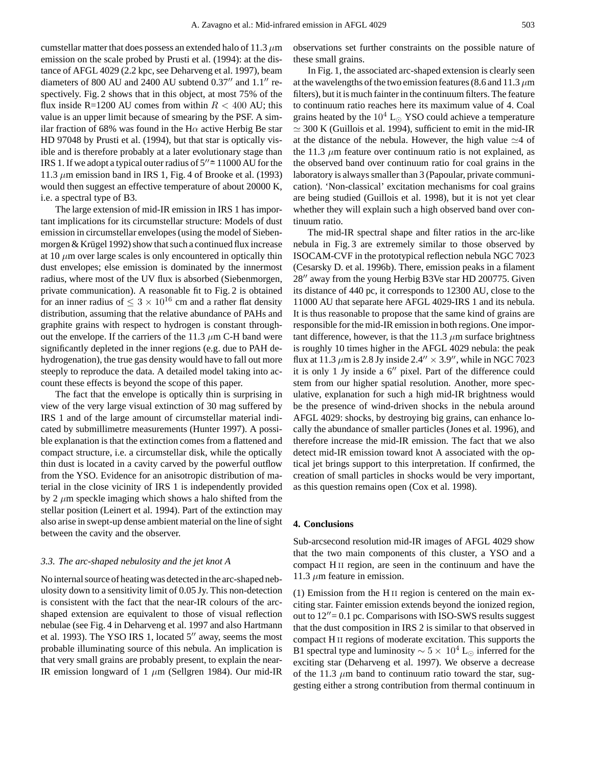cumstellar matter that does possess an extended halo of 11.3  $\mu$ m emission on the scale probed by Prusti et al. (1994): at the distance of AFGL 4029 (2.2 kpc, see Deharveng et al. 1997), beam diameters of 800 AU and 2400 AU subtend  $0.37''$  and  $1.1''$  respectively. Fig. 2 shows that in this object, at most 75% of the flux inside R=1200 AU comes from within  $R < 400$  AU; this value is an upper limit because of smearing by the PSF. A similar fraction of 68% was found in the H $\alpha$  active Herbig Be star HD 97048 by Prusti et al. (1994), but that star is optically visible and is therefore probably at a later evolutionary stage than IRS 1. If we adopt a typical outer radius of  $5'' \approx 11000$  AU for the 11.3  $\mu$ m emission band in IRS 1, Fig. 4 of Brooke et al. (1993) would then suggest an effective temperature of about 20000 K, i.e. a spectral type of B3.

The large extension of mid-IR emission in IRS 1 has important implications for its circumstellar structure: Models of dust emission in circumstellar envelopes (using the model of Siebenmorgen  $&$  Krügel 1992) show that such a continued flux increase at 10  $\mu$ m over large scales is only encountered in optically thin dust envelopes; else emission is dominated by the innermost radius, where most of the UV flux is absorbed (Siebenmorgen, private communication). A reasonable fit to Fig. 2 is obtained for an inner radius of  $\leq 3 \times 10^{16}$  cm and a rather flat density distribution, assuming that the relative abundance of PAHs and graphite grains with respect to hydrogen is constant throughout the envelope. If the carriers of the 11.3  $\mu$ m C-H band were significantly depleted in the inner regions (e.g. due to PAH dehydrogenation), the true gas density would have to fall out more steeply to reproduce the data. A detailed model taking into account these effects is beyond the scope of this paper.

The fact that the envelope is optically thin is surprising in view of the very large visual extinction of 30 mag suffered by IRS 1 and of the large amount of circumstellar material indicated by submillimetre measurements (Hunter 1997). A possible explanation is that the extinction comes from a flattened and compact structure, i.e. a circumstellar disk, while the optically thin dust is located in a cavity carved by the powerful outflow from the YSO. Evidence for an anisotropic distribution of material in the close vicinity of IRS 1 is independently provided by 2  $\mu$ m speckle imaging which shows a halo shifted from the stellar position (Leinert et al. 1994). Part of the extinction may also arise in swept-up dense ambient material on the line of sight between the cavity and the observer.

#### *3.3. The arc-shaped nebulosity and the jet knot A*

No internal source of heating was detected in the arc-shaped nebulosity down to a sensitivity limit of 0.05 Jy. This non-detection is consistent with the fact that the near-IR colours of the arcshaped extension are equivalent to those of visual reflection nebulae (see Fig. 4 in Deharveng et al. 1997 and also Hartmann et al. 1993). The YSO IRS 1, located  $5''$  away, seems the most probable illuminating source of this nebula. An implication is that very small grains are probably present, to explain the near-IR emission longward of 1  $\mu$ m (Sellgren 1984). Our mid-IR

observations set further constraints on the possible nature of these small grains.

In Fig. 1, the associated arc-shaped extension is clearly seen at the wavelengths of the two emission features (8.6 and 11.3  $\mu$ m filters), but it is much fainter in the continuum filters. The feature to continuum ratio reaches here its maximum value of 4. Coal grains heated by the  $10^4$  L<sub> $\odot$ </sub> YSO could achieve a temperature  $\simeq$  300 K (Guillois et al. 1994), sufficient to emit in the mid-IR at the distance of the nebula. However, the high value  $\simeq$  4 of the 11.3  $\mu$ m feature over continuum ratio is not explained, as the observed band over continuum ratio for coal grains in the laboratory is always smaller than 3 (Papoular, private communication). 'Non-classical' excitation mechanisms for coal grains are being studied (Guillois et al. 1998), but it is not yet clear whether they will explain such a high observed band over continuum ratio.

The mid-IR spectral shape and filter ratios in the arc-like nebula in Fig. 3 are extremely similar to those observed by ISOCAM-CVF in the prototypical reflection nebula NGC 7023 (Cesarsky D. et al. 1996b). There, emission peaks in a filament 28" away from the young Herbig B3Ve star HD 200775. Given its distance of 440 pc, it corresponds to 12300 AU, close to the 11000 AU that separate here AFGL 4029-IRS 1 and its nebula. It is thus reasonable to propose that the same kind of grains are responsible for the mid-IR emission in both regions. One important difference, however, is that the 11.3  $\mu$ m surface brightness is roughly 10 times higher in the AFGL 4029 nebula: the peak flux at 11.3  $\mu$ m is 2.8 Jy inside 2.4"  $\times$  3.9", while in NGC 7023 it is only 1 Jy inside a  $6''$  pixel. Part of the difference could stem from our higher spatial resolution. Another, more speculative, explanation for such a high mid-IR brightness would be the presence of wind-driven shocks in the nebula around AFGL 4029: shocks, by destroying big grains, can enhance locally the abundance of smaller particles (Jones et al. 1996), and therefore increase the mid-IR emission. The fact that we also detect mid-IR emission toward knot A associated with the optical jet brings support to this interpretation. If confirmed, the creation of small particles in shocks would be very important, as this question remains open (Cox et al. 1998).

#### **4. Conclusions**

Sub-arcsecond resolution mid-IR images of AFGL 4029 show that the two main components of this cluster, a YSO and a compact H ii region, are seen in the continuum and have the 11.3  $\mu$ m feature in emission.

(1) Emission from the H ii region is centered on the main exciting star. Fainter emission extends beyond the ionized region, out to  $12'' = 0.1$  pc. Comparisons with ISO-SWS results suggest that the dust composition in IRS 2 is similar to that observed in compact H ii regions of moderate excitation. This supports the B1 spectral type and luminosity  $\sim 5 \times 10^4$  L<sub>⊙</sub> inferred for the exciting star (Deharveng et al. 1997). We observe a decrease of the 11.3  $\mu$ m band to continuum ratio toward the star, suggesting either a strong contribution from thermal continuum in